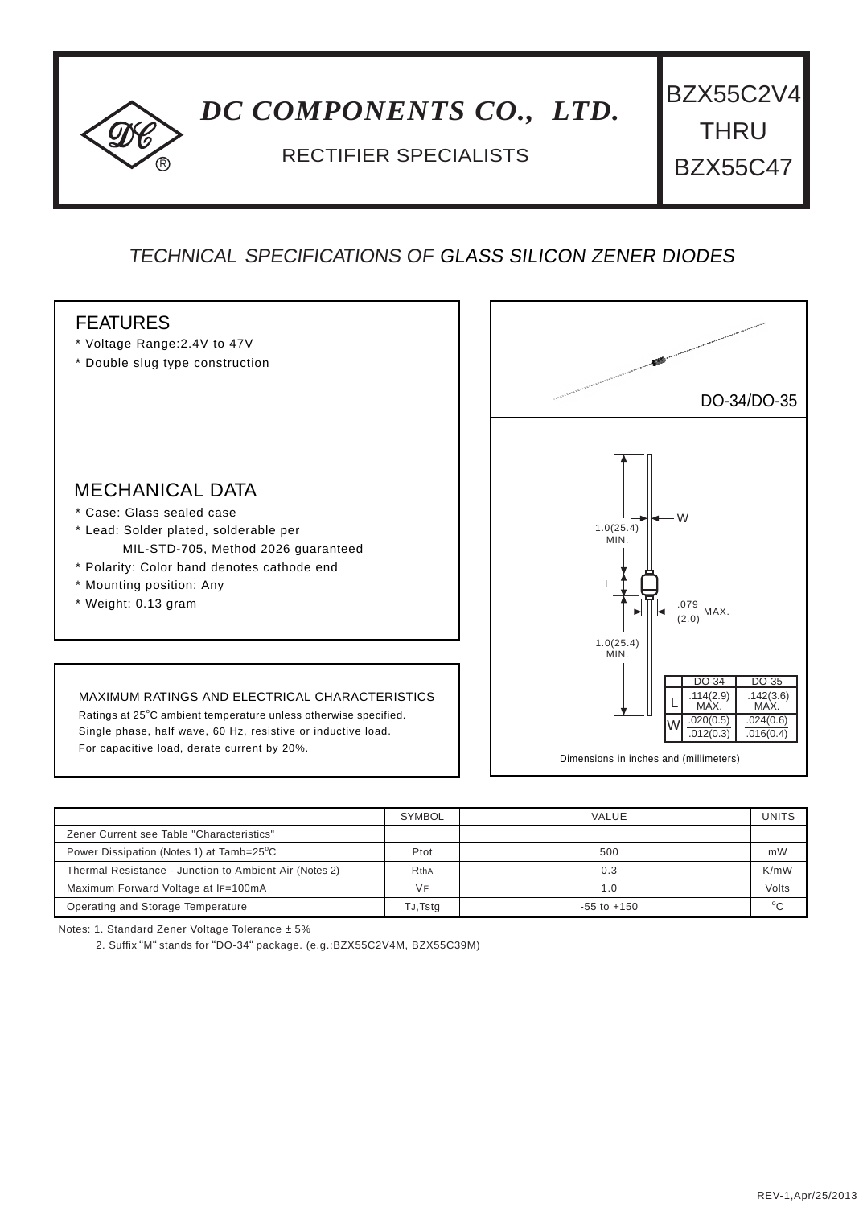## <sup>R</sup> RECTIFIER SPECIALISTS *DC COMPONENTS CO., LTD.* BZX55C2V4 THRU BZX55C47

## TECHNICAL SPECIFICATIONS OF GLASS SILICON ZENER DIODES



|                                                        | <b>SYMBOL</b> | VALUE           | UNITS   |
|--------------------------------------------------------|---------------|-----------------|---------|
| Zener Current see Table "Characteristics"              |               |                 |         |
| Power Dissipation (Notes 1) at Tamb=25°C               | Ptot          | 500             | mW      |
| Thermal Resistance - Junction to Ambient Air (Notes 2) | RthA          | 0.3             | K/mW    |
| Maximum Forward Voltage at IF=100mA                    | <b>VF</b>     | 1.0             | Volts   |
| Operating and Storage Temperature                      | TJ, Tstg      | $-55$ to $+150$ | $\circ$ |

Notes: 1. Standard Zener Voltage Tolerance ± 5%

2. Suffix "M" stands for "DO-34" package. (e.g.:BZX55C2V4M, BZX55C39M)